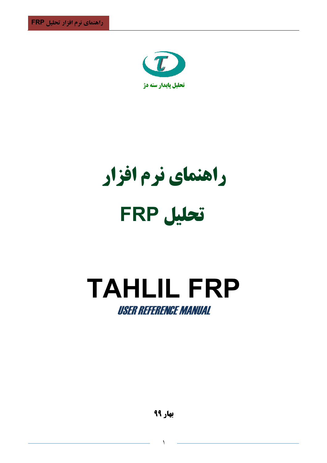

**راهنمای نرم افزار تحليل FRP** 

# **TAHLIL FRP** USER REFERENCE MANUAL

 $\overline{1}$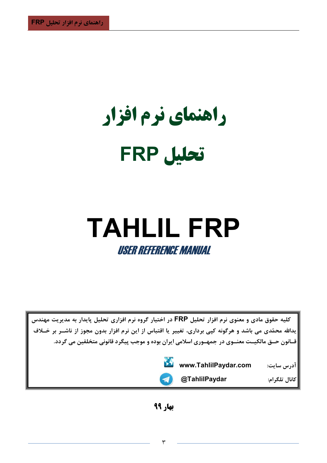راهنمای نرم افزار تحليل FRP

# **TAHLIL FRP USER REFERENCE MANUAL**

کلیه حقوق مادی و معنوی نرم افزار تحلیل FRP در اختیار گروه نرم افزاری تحلیل پایدار به مدیریت مهندس یدالله محمّدی می باشد و هرگونه کیی برداری، تغییر یا اقتباس از این نرم افزار بدون مجوز از ناشــر بر خــلاف قــانون حــق مالکیــت معنــوی در جمهــوری اسلامی ایران بوده و موجب پیگرد قانونی متخلفین می گردد.



 $\blacktriangleleft$ 

@TahlilPaydar

كانال تلگرام:

آدرس سايت:

بهار ۹۹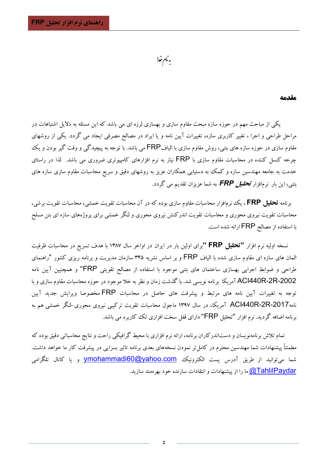بەنام خدا

#### مقدمه

یکی از مباحث مهم در حوزه سازه مبحث مقاوم سازی و بهسازی لرزه ای می باشد که این مسئله به دلایل اشتباهات در مراحل طراحی و اجرا ، تغییر کاربری سازه، تغییرات آیین نامه و یا ایراد در مصالح مصرفی ایجاد می گردد. یکی از روشهای مقاوم سازی در حوزه سازه های بتنی، روش مقاوم سازی با الیافFRP می باشد. با توجه به پیچیدگی و وقت گیر بودن و یک چرخه کنسل کننده در محاسبات مقاوم سازی با FRP نیاز به نرم افزارهای کامپیوتری ضروری می باشد. لذا در راستای خدمت به جامعه مهندسین سازه و کمک به دستیابی همکاران عزیز به روشهای دقیق و سریع محاسبات مقاوم سازی سازه های بتنی، این بار نرمافزار **تح***لیل FRP* به شما عزیزان تقدیم می گردد.

برنامه قحلیل FRP، یک نرمافزار محاسبات مقاوم سازی بوده که در آن محاسبات تقویت خمشی، محاسبات تقویت برشی، محاسبات تقویت نیروی محوری و محاسبات تقویت اندرکنش نیروی محوری و لنگر خمشی برای پروژههای سازه ای بتن مسلح با استفاده از مصالح FRP ارائه شده است.

نسخه اولیه نرم افزار **"تحلیل FRP "**برای اولین بار در ایران در اواخر سال ۱۳۸۷ با هدف تسریع در محاسبات ظرفیت الممان های سازه ای مقاوم سازی شده با الیاف FRP و بر اساس نشریه ۳۴۵ سازمان مدیریت و برنامه ریزی کشور "راهنمای طراحی و ضوابط اجرایی بهسازی ساختمان های بتنی موجود با استفاده از مصالح تقویتی FRP" و همچنیین آیین نامه ACI440R-2R-2002 آمریکا برنامه نویسی شد. با گذشت زمان و نظر به خلا موجود در حوزه محاسبات مقاوم سازی و با .<br>توجه به تغییرات آیین نامه های مرتبط و پیشرفت های حاصل در محاسبات FRP مخصوصا ویرایش جدید آیین نامه2017-ACl440R آمریکا، در سال ۱۳۹۷ ماجول محاسبات تقویت ترکیبی نیروی محوری-لنگر خمشی هم به برنامه اضافه گردید. نرم افزار "تحلیل FRP" دارای قفل سخت افزاری تک کاربره می باشد.

تمام تلاش برنامهنویسان و دستاندرکاران برنامه، ارائه نرم افزاری با محیط گرافیکی راحت و نتایج محاسباتی دقیق بوده که مطمئناً پیشنهادات شما مهندسین محترم در کامل تر نمودن نسخههای بعدی برنامه تاثیر بسزایی در پیشرفت کار ما خواهد داشت. شما میتوانید از طریق آدرس پست الکترونیک <mark>ymohammadi60@yahoo.com</mark> و یا کانال تلگرامی <u>QTahlilPaydar ما را از پیشنه</u>ادات و انتقادات سازنده خود بهرهمند سازید.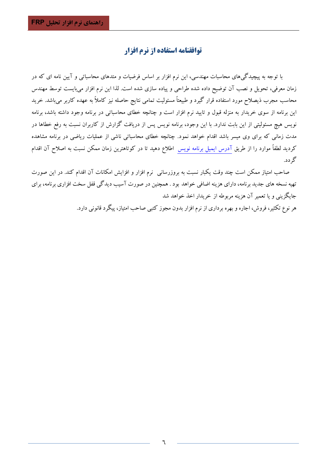# توافقنامه استفاده از نرم افزار

با توجه به پیچیدگیهای محاسبات مهندسی، این نرم افزار بر اساس فرضیات و متدهای محاسباتی و آیین نامه ای که در زمان معرفی، تحویل و نصب آن توضیح داده شده طراحی و پیاده سازی شده است. لذا این نرم افزار می بایست توسط مهندس محاسب مجرب ذیصلاح مورد استفاده قرار گیرد و طبیعتاً مسئولیت تمامی نتایج حاصله نیز کاملاً به عهده کاربر میباشد. خرید این برنامه از سوی خریدار به منزله قبول و تایید نرم افزار است و چنانچه خطای محاسباتی در برنامه وجود داشته باشد، برنامه نویس هیچ مسئولیتی از این بابت ندارد. با این وجود، برنامه نویس پس از دریافت گزارش از کاربران نسبت به رفع خطاها در مدت زمانی که برای وی میسر باشد اقدام خواهد نمود. چنانچه خطای محاسباتی ناشی از عملیات ریاضی در برنامه مشاهده کردید لطفاً موارد را از طریق آدرس ایمیل برنامه نویس اطلاع دهید تا در کوتاهترین زمان ممکن نسبت به اصلاح آن اقدام گر دد.

صاحب امتیاز ممکن است چند وقت یکبار نسبت به بروزرسانی نرم افزار و افزایش امکانات آن اقدام کند. در این صورت تهیه نسخه های جدید برنامه، دارای هزینه اضافی خواهد بود . همچنین در صورت آسیب دیدگی قفل سخت افزاری برنامه، برای جايگزيني و يا تعمير آن هزينه مربوطه از خريدار اخذ خواهد شد

هر نوع تکثیر، فروش، اجاره و بهره برداری از نرم افزار بدون مجوز کتبی صاحب امتیاز، پیگرد قانونی دارد.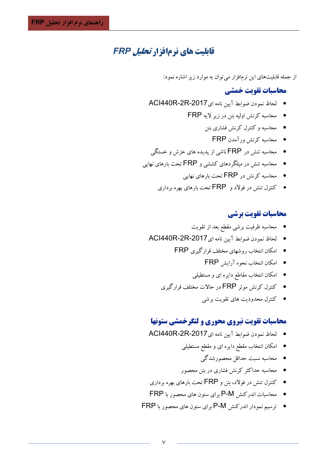# *ERP قابلیت های ذرمافزار تحلیل*

از جمله قابلیتهای این نرمافزار میتوان به موارد زیر اشاره نمود:

## **محاسبات تقويت خمشي**

- لحاظ نمودن ضوابط آيين نامه اي ACI440R-2R-2017
	- محاسبه کرنش اولیه بتن در زیر لایه FRP
		- محاسبه و کنترل کرنش فشاری بتن
			- محاسبه کرنش ورآمدن FRP
- محاسبه تنش در FRP ناشی از پدیده های خزش و خستگی
- محاسبه تنش در مبلگردهای کششی و FRP تحت بارهای نهایی
	- محاسبه کرنش در FRP تحت بارهای نهایی  $\Box$
	- خنترل تنش در فولاد و  $\sf FRP$  تحت بارهای بهره برداری  $\bullet$

#### **محاسبات تقویت برشی**

- محاسبه ظرفیت برشی مقطع بعد از تقویت
- لحاظ نمودن ضوابط آيين نامه اي ACI440R-2R-2017
	- امکان انتخاب روشهای مختلف قرارگیری FRP
		- امكان انتخاب نحوه آرايش FRP
		- امکان انتخاب مقاطع دایره ای و مستطیلی
	- کنټرل کړنش مو ټر FRP در حالات مختلف قرار گېږي
		- کنترل محدودیت های تقویت برشی

#### **محاسبات تقویت نیروی محوری و لنگرخمشی ستونها**

- لحاظ نمودن ضوابط آيين نامه اي ACI440R-2R-2017
	- امکان انتخاب مقطع دایره ای و مقطع مستطیلی
		- محاسبه نسبت حداقل محصورشدگی
	- محاسبه حداکثر کرنش فشاری در بتن محصور
- خنترل تنش در فولاد، بتن و FRP تحت بارهای بهره برداری  $\bullet$
- محاسبات اندرکنش P-M برای ستون های محصور با FRP
- ترسیم نمودار اندرکنش P-M برای ستون های محصور با FRP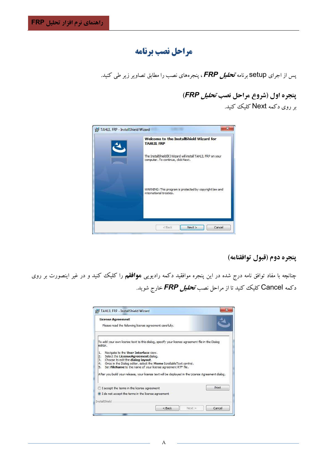# مراحل نصب برنامه

یس از اجرای Setup برنامه تح*لیل FRP*، پنجرههای نصب را مطابق تصاویر زیر طی کنید.

پنجره اول (شروع مراحل نصب *تحلیل FRP*) بر روی دکمه Next کلیک کنید.



# پنجره دوم (قبول توافقنامه)

چنانچه با مفاد توافق نامه درج شده در این پنجره موافقید دکمه رادیویی **موافقم** را کلیک کنید و در غیر اینصورت بر روی دکمه Cancel کلیک کنید تا از مراحل نصب *تحلیل FRP خ***ارج شوید**.

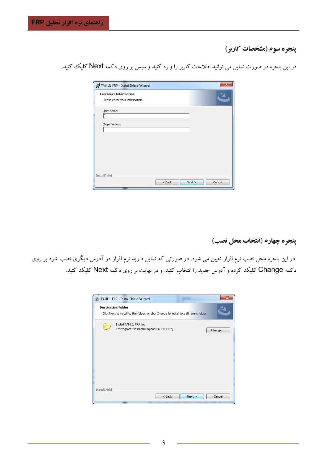# **پنجره سوم (مشخصات کاربر)**

در این پنجره در صورت تمایل می توانید اطلاعات کاربر را وارد کنید و سپس بر روی دکمه Next کلیک کنید.

| <b>Customer Information</b>    |  |  |
|--------------------------------|--|--|
| Please enter your information. |  |  |
| User Name:                     |  |  |
|                                |  |  |
| Organization:                  |  |  |
|                                |  |  |
|                                |  |  |
|                                |  |  |
|                                |  |  |
|                                |  |  |
|                                |  |  |
|                                |  |  |

**پنجره چهارم (انتخاب محل نصب)** 

در این پنجره محل نصب نرم افزار تعیین می شود. در صورتی که تمایل دارید نرم افزار در آدرس دیگری نصب شود بر روی دکمه Change کلیک کرده و آدرس جدید را انتخاب کنید. و در نهایت بر روی دکمه Next کلیک کنید.

|                      | <b>Destination Folder</b><br>Click Next to install to this folder, or click Change to install to a different folder. |  |  |        |
|----------------------|----------------------------------------------------------------------------------------------------------------------|--|--|--------|
|                      | Install TAHLIL FRP to:<br>C:\Program Files\TahlilPaydar\TAHLIL FRP\                                                  |  |  | Change |
|                      |                                                                                                                      |  |  |        |
| <b>InstallShield</b> |                                                                                                                      |  |  |        |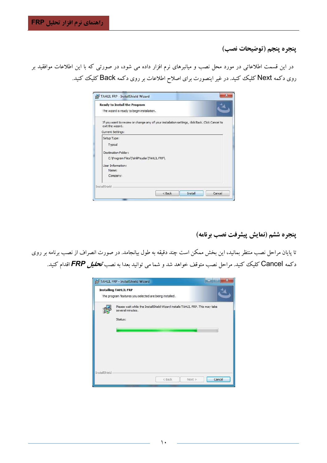پنجره پنجم (توضيحات نصب)

در این قسمت اطلاعاتی در مورد محل نصب و میانبرهای نرم افزار داده می شود، در صورتی که با این اطلاعات موافقید بر روی دکمه Next کلیک کنید. در غیر اینصورت برای اصلاح اطلاعات بر روی دکمه Back کلیک کنید.

| Ready to Install the Program                                                                                       |          |         |        |
|--------------------------------------------------------------------------------------------------------------------|----------|---------|--------|
| The wizard is ready to begin installation.                                                                         |          |         |        |
| If you want to review or change any of your installation settings, click Back. Click Cancel to<br>exit the wizard. |          |         |        |
| Current Settings:                                                                                                  |          |         |        |
| Setup Type:                                                                                                        |          |         |        |
| Typical                                                                                                            |          |         |        |
| Destination Folder:                                                                                                |          |         |        |
| C:\Program Files\TahlilPaydar\TAHLIL FRP\                                                                          |          |         |        |
| Liser Information:                                                                                                 |          |         |        |
| Name:                                                                                                              |          |         |        |
| Company:                                                                                                           |          |         |        |
| <b>InstallShield</b>                                                                                               |          |         |        |
|                                                                                                                    | $<$ Back | Install | Cancel |
|                                                                                                                    |          |         |        |

ينجره ششم (نمايش پيشرفت نصب برنامه)

تا پایان مراحل نصب منتظر بمانید، این بخش ممکن است چند دقیقه به طول بیانجامد. در صورت انصراف از نصب برنامه بر روی دکمه Cancel کلیک کنید. مراحل نصب متوقف خواهد شد و شما می توانید بعدا به نصب ت**ح***لیل FRP*اقدام کنید.

|               | TAHLIL FRP - InstallShield Wizard                                                                            |        |
|---------------|--------------------------------------------------------------------------------------------------------------|--------|
|               | <b>Installing TAHLIL FRP</b><br>The program features you selected are being installed.                       |        |
|               | Please wait while the InstallShield Wizard installs TAHLIL FRP. This may take<br>several minutes.<br>Status: |        |
| InstallShield | <back<br>Next &gt;</back<br>                                                                                 | Cancel |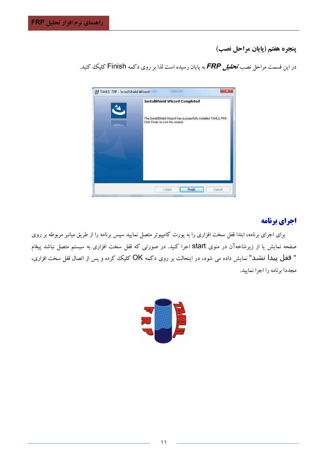ينجره هفتم (يايان مراحل نصب)

در این قسمت مراحل نصب **تح***لیل FRP* به پایان رسیده است لذا بر روی دکمه Finish کلیک کنید.



# اجراي برنامه

برای اجرای برنامه، ابتدا قفل سخت افزاری را به پورت کامپیوتر متصل نمایید سپس برنامه را از طریق میانبر مربوطه بر روی صفحه نمایش یا از زیرشاخهآن در منوی start اجرا کنید. در صورتی که قفل سخت افزاری به سیستم متصل نباشد پیغام " قفل پیدا نشد" نمایش داده می شود، در اینحالت بر روی دکمه OK کلیک کرده و پس از اتصال قفل سخت افزاری، مجددا برنامه را اجرا نمایید.

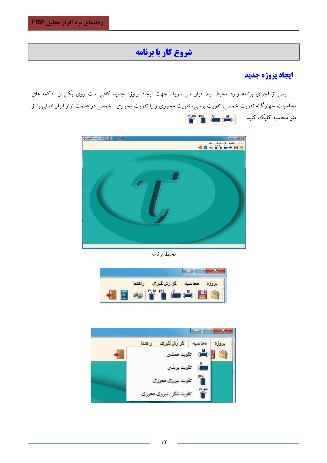# شروع كار با برنامه

# ايجاد پروژه جديد

پس از اجرای برنامه وارد محیط نرم افزار می شوید. جهت ایجاد پروژه جدید کافی است روی یکی از دکمه های محاسبات چهارگانه تقویت خمشی، تقویت برشی، تقویت محوری و یا تقویت محوری– خمشی در قسمت نوار ابزار اصلی یا از منو محاسبه کلیک کنید ایران استان این منظم استان استان<br>منابع استان استان استان این منابع این منابع این منابع این منابع این منابع این منابع این منابع این منابع این من<br>منابع این منابع این منابع این منابع این منابع این منابع



محيط برنامه

|                | 3 A.S             |                        |  |
|----------------|-------------------|------------------------|--|
| $\blacksquare$ | <b>THE</b><br>- 3 | <b>Lating Contract</b> |  |

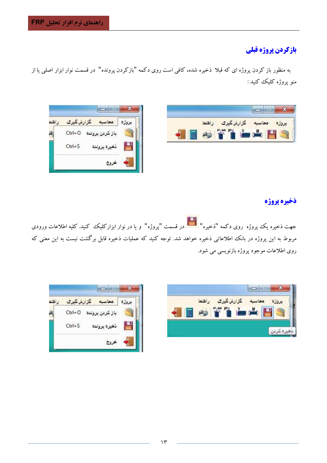# بازكردن پروژه قبلي

به منظور باز کردن پروژه ای که قبلا ذخیره شده، کافی است روی دکمه "بازکردن پرونده" در قسمت نوار ابزار اصلی یا از منو يړوژه کليک کنېد :





# ذخيره يروژه

جهت ذخیره یک پروژه روی دکمه "ذخیره" <mark>ایستا</mark> در قسمت "پروژه" و یا در نوار ابزارکلیک کنید. کلیه اطلاعات ورودی مربوط به این پروژه در بانک اطلاعاتی ذخیره خواهد شد. توجه کنید که عملیات ذخیره قابل برگشت نیست به این معنی که روی اطلاعات موجود پروژه بازنویسی می شود.



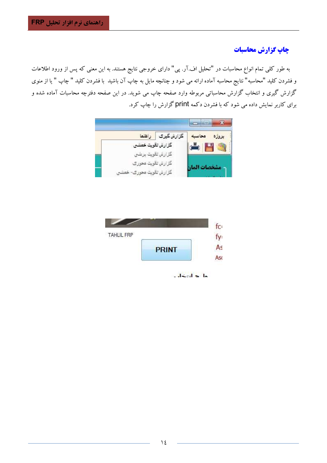# چاپ گزارش محاسبات

به طور کلبی تمام انواع محاسبات در "تحلیل اف.آر. پی" دارای خروجی نتایج هستند. به این معنی که پس از ورود اطلاعات و فشردن كليد "محاسبه" نتايج محاسبه آماده ارائه مي شود و چنانچه مايل به چاپ آن باشيد با فشردن كليد " چاپ " يا از منوي گزارش گیری و انتخاب گزارش محاسباتی مربوطه وارد صفحه چاپ می شوید. در این صفحه دفترچه محاسبات آماده شده و برای کاربر نمایش داده می شود که با فشردن دکمه print گزارش را چاپ کرد.





 $-$  dend  $\sim$  1.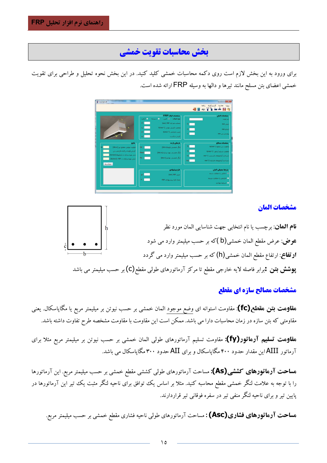# بخش محاسبات تقويت خمشي

برای ورود به این بخش لازم است روی دکمه محاسبات خمشی کلید کنید. در این بخش نحوه تحلیل و طراحی برای تقویت خمشی اعضای بتن مسلح مانند تیرها و دالها به وسیله FRP ارائه شده است.



#### مشخصات المان



#### مشخصات مصالح سازه اي مقطع

ه**قاومت بتن مقطع(fc)**: مقاومت استوانه ای وضع موجود المان خمشی بر حسب نیوتن بر میلیمتر مربع یا مگاپاسکال. یعنی مقاومتی که بتن سازه در زمان محاسبات دارا می باشد. ممکن است این مقاومت با مقاومت مشخصه طرح تفاوت داشته باشد.

ه**قاومت تسلیم آرماتور(fy):** مقاومت تسلیم آرماتورهای طولی المان خمشی بر حسب نیوتن بر میلیمتر مربع مثلا برای آرماتور AIIIاین مقدار حدود ۴۰۰ مگاپاسکال و برای AII حدود ۳۰۰ مگاپاسکال می باشد.

ه**ساحت آرماتورهای کششی(As):** مساحت آرماتورهای طول<sub>ی</sub> کششی مقطع خمشی بر حسب میلیمتر مربع. این آرماتورها را با توجه به علامت لنگر خمشی مقطع محاسبه کنید. مثلا بر اساس یک توافق برای ناحیه لنگر مثبت یک تیر این آرماتورها در پایین تیر و برای ناحیه لنگر منفی تیر در سفره فوقانی تیر قراردارند.

ه**ساحت آرماتورهای فشاری(Asc) :** مساحت آرماتورهای طولی ناحیه فشاری مقطع خمشی بر حسب میلیمتر مربع.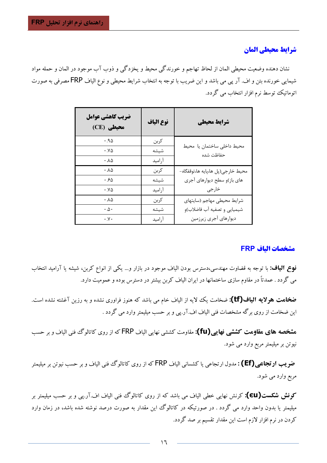## شرايط محيطي المان

نشان دهنده وضعيت محيطي المان از لحاظ تهاجم و خورندگي محيط و يخزدگي و ذوب آب موجود در المان و حمله مواد شیمایی خورنده بتن و اف. آر یی می باشد و این ضریب با توجه به انتخاب شرایط محیطی و نوع الیاف FRP مصرفی به صورت اتوماتیک توسط نرم افزار انتخاب می گردد.

| ضريب كاهشي عوامل<br>(CE) محیطی | نوع الياف | شرايط محيطي                             |
|--------------------------------|-----------|-----------------------------------------|
| .90                            | كربن      |                                         |
| $\cdot$ . $\vee \vartriangle$  | شيشه      | محيط داخلي ساختمان يا محيط<br>حفاظت شده |
| $\cdot \Lambda \Delta$         | آراميد    |                                         |
| $\cdot \Lambda \Delta$         | كربن      | محيط خارجي(پل ها،پايه ها،توقفگاه-       |
| ۰.۶۵                           | شيشه      | های باز)و سطح دیوارهای آجری             |
| $\cdot$ . $\vee \vartriangle$  | أراميد    | خارجى                                   |
| $\cdot \Lambda \Delta$         | كربن      | شرايط محيطى مهاجم (سايتهاى              |
| $\cdot \Delta \cdot$           | شيشه      | شیمیایی و تصفیه آب فاضلاب)و             |
| $\cdot$ . $\vee$ $\cdot$       | آراميد    | ديوارهاي أجرى زيرزمين                   |

## مشخصات الىاف FRP

**نوع الیاف:** با توجه به قضاوت مهندسی،دسترس بودن الیاف موجود در بازار و… یکی از انواع کربن، شیشه یا آرامید انتخاب می گردد . عمدتاً در مقاوم سازی ساختمانها در ایران الیاف کربن بیشتر در دسترس بوده و عمومیت دارد.

**ضخامت هولایه الیاف(tf):** ضخامت یک لایه از الیاف خام می باشد که هنوز فراوری نشده و به رزین آغشته نشده است. این ضخامت از روی برگه مشخصات فنی الیاف اف.آر.یی و بر حسب میلیمتر وارد می گردد .

ه**شخصه های مقاومت کششی نهایی(fu):** مقاومت کششی نهایی الیاف FRP که از روی کاتالوگ فنی الیاف و بر حسب نیوتن بر میلیمتر مربع وارد می شود.

**ضو یب ارتجاعبی (Ef) :** مدول ارتجاعی یا کشسانی الیاف FRP که از روی کاتالوگ فنی الیاف و بر حسب نیوتن بر میلیمتر مربع وارد مي شود.

کونش شکست(EU): کرنش نهایی خطی الیاف می باشد که از روی کاتالوگ فنی الیاف اف.آر.یبی و بر حسب میلیمتر بر میلیمتر یا بدون واحد وارد می گردد . در صورتیکه در کاتالوگ این مقدار به صورت درصد نوشته شده باشد، در زمان وارد کردن در نرم افزار لازم است این مقدار تقسیم بر صد گردد.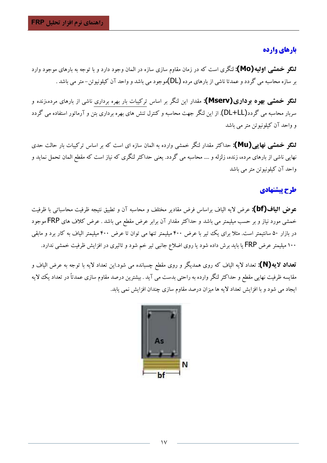# بارهای وارده

**لنگو خمشی اولیه(Mo):** لنگری است که در زمان مقاوم سازی سازه در المان وجود دارد و با توجه به بارهای موجود وارد بر سازه محاسبه می گردد و عمدتا ناشی از بارهای مرده (DL)موجود می باشد و واحد آن کیلونیوتن–متر می باشد .

**لنگو خمشی بهره برداری(Mserv):** مقدار این لنگر بر اساس ترکیبات بار بهره برداری ناشی از بارهای مرده،زنده و سربار محاسبه می گردد(DL+LL). از این لنگر جهت محاسبه و کنترل تنش های بهره برداری بتن و آرماتور استفاده می گردد و واحد آن کیلونیوتن متر می باشد

**لنگو خمشی نهایی(Mu):** حداکثر مقدار لنگر خمشی وارده به المان سازه ای است که بر اساس ترکیبات بار حالت حدی نهایی ناشی از بارهای مرده، زنده، زلزله و …. محاسبه می گردد. یعنی حداکثر لنگری که نیاز است که مقطع المان تحمل نماید و واحد آن کیلونیوتن متر می باشد

# طرح يتشنهادي

عوض الياف(bf): عرض لايه الياف براساس فرض مقادير مختلف و محاسبه آن و تطبيق نتيجه ظرفيت محاسباتي با ظرفيت خمشی مورد نیاز و بر حسب میلیمتر می باشد و حداکثر مقدار آن برابر عرض مقطع می باشد . عرض کلاف های FRP موجود در بازار ۵۰ سانتیمتر است. مثلاً برای یک تیر با عرض ۴۰۰ میلیمتر تنها می توان تا عرض ۴۰۰ میلیمتر الیاف به کار برد و مابقی ۱۰۰ میلیمتر عرض FRP یا باید برش داده شود یا روی اضلاع جانبی تیر خم شود و تاثیری در افزایش ظرفیت خمشی ندارد.

تعداد لایه(N): تعداد لایه الیاف که روی همدیگر و روی مقطع چسبانده می شود.این تعداد لایه با توجه به عرض الیاف و مقایسه ظرفیت نهایی مقطع و حداکثر لنگر وارده به راحتی بدست می آید . بیشترین درصد مقاوم سازی عمدتاً در تعداد یک لایه ایجاد می شود و با افزایش تعداد لایه ها میزان درصد مقاوم سازی چندان افزایش نمی یابد.

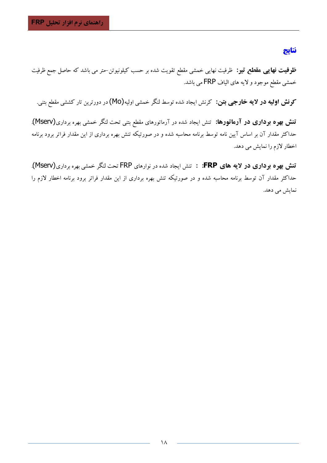# نتايج

**ظرفیت نهایبی هقطع تیو:** ظرفیت نهایی خمشی مقطع تقویت شده بر حسب کیلونیوتن–متر می باشد که حاصل جمع ظرفیت خمشی مقطع موجود و لایه های الیاف FRP می باشد.

**کونش اولیه در لایه خارجیی بتن:** کرنش ایجاد شده توسط لنگر خمشی اولیه(Mo) در دورترین تار کششی مقطع بتنی.

تنش بهره برداری در آرماتورها: تنش ایجاد شده در آرماتورهای مقطع بتنی تحت لنگر خمشی بهره برداری(Mserv). حداکثر مقدار آن بر اساس آیین نامه توسط برنامه محاسبه شده و در صورتیکه تنش بهره برداری از این مقدار فراتر برود برنامه اخطار لازم را نمایش می دهد.

تنش بهره برداری در لایه های FRP: : تنش ایجاد شده در نوارهای FRP تحت لنگر خمشی بهره برداری(Mserv). حداکثر مقدار آن توسط برنامه محاسبه شده و در صورتیکه تنش بهره برداری از این مقدار فراتر برود برنامه اخطار لازم را نمایش می دهد.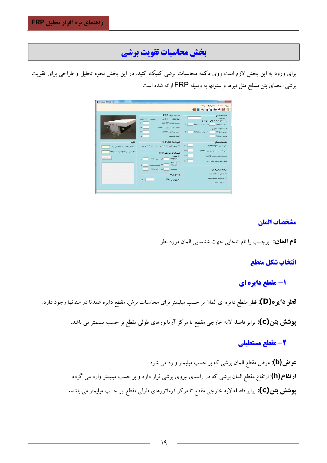# بخش محاسبات تقويت برشي

برای ورود به این بخش لازم است روی دکمه محاسبات برشی کلیک کنید. در این بخش نحوه تحلیل و طراحی برای تقویت برشی اعضای بتن مسلح مثل تیرها و ستونها به وسیله FRP ارائه شده است.



## مشخصات المان

**نام العان:** برچسب يا نام انتخابي جهت شناسايي المان مورد نظر

# انتخاب شكل مقطع

# 1- مقطع دایره ای

قطو دایوه(D): قطر مقطع دایره ای المان بر حسب میلیمتر برای محاسبات برش. مقطع دایره عمدتا در ستونها وجود دارد.

**پوشش بتن(C):** برابر فاصله لایه خارجی مقطع تا مرکز آرماتورهای طولی مقطع بر حسب میلیمتر می باشد.

# 2- مقطع مستطيلي

عوض(b): عرض مقطع المان برشی که بر حسب میلیمتر وارد می شود **ارتفاع (h)**: ارتفاع مقطع المان برشی که در راستای نیروی برشی قرار دارد و بر حسب میلیمتر وارد می گردد **پوشش بتن(C):** برابر فاصله لایه خارجی مقطع تا مرکز آرماتورهای طولی مقطع بر حسب میلیمتر می باشد.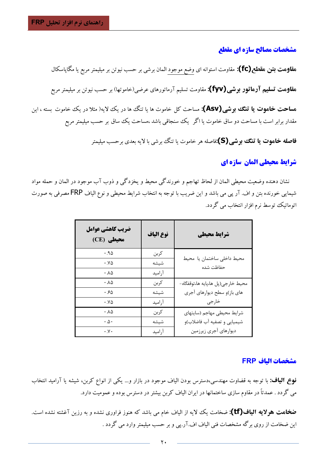#### مشخصات مصالح سازه اي مقطع

ه**قاومت بتن مقطع (fc):** مقاومت استوانه ای وضع موجود المان برشی بر حسب نیوتن بر میلیمتر مربع یا مگاپاسکال ه**قاومت تسلیم آرماتور برشی(fyv):** مقاومت تسلیم آرماتورهای عرضی(خاموتها) بر حسب نیوتن بر میلیمتر مربع ه**ساحت خاموت یا تنگ ببوشی(Asv):** مساحت کل خاموت ها یا تنگ ها در یک لایه( مثلا در یک خاموت بسته ، این مقدار برابر است با مساحت دو ساق خاموت یا اگر یک سنجاقی باشد ،مساحت یک ساق بر حسب میلیمتر مربع

فاصله خاموت یا تنگ بوشی(S):فاصله هر خاموت یا تنگ برشی با لایه بعدی برحسب میلیمتر

# شرايط محيطي المان سازه اي

نشان دهنده وضعيت محيطي المان از لحاظ تهاجم و خورندگي محيط و يخزدگي و ذوب آب موجود در المان و حمله مواد شیمایی خورنده بتن و اف. آر پی می باشد و این ضریب با توجه به انتخاب شرایط محیطی و نوع الیاف FRP مصرفی به صورت اتوماتیک توسط نرم افزار انتخاب می گردد.

| ضريب كاهشي عوامل<br>(CE) محیطی | نوع الياف | شرايط محيطي                             |
|--------------------------------|-----------|-----------------------------------------|
| .90                            | كربن      |                                         |
| $\cdot$ . $\vee \vartriangle$  | شيشه      | محيط داخلى ساختمان يا محيط<br>حفاظت شده |
| $\cdot \Lambda \Delta$         | آراميد    |                                         |
| $\cdot \Lambda \Delta$         | كربن      | محيط خارجي(پل ها،پايه ها،توقفگاه-       |
| .50                            | شيشه      | های باز)و سطح دیوارهای آجری             |
| $\cdot$ . $\vee \triangle$     | أراميد    | خارجى                                   |
| $\cdot \Lambda \Delta$         | كربن      | شرايط محيطى مهاجم (سايتهاى              |
| $\cdot \Delta \cdot$           | شيشه      | شیمیایی و تصفیه آب فاضلاب)و             |
| $\cdot$ . $\vee$ $\cdot$       | آراميد    | ديوارهاي أجرى زيرزمين                   |

#### مشخصات الىاف FRP

**نوع الیاف:** با توجه به قضاوت مهندسی،دسترس بودن الیاف موجود در بازار و… یکی از انواع کربن، شیشه یا آرامید انتخاب می گردد . عمدتاً در مقاوم سازی ساختمانها در ایران الیاف کربن بیشتر در دسترس بوده و عمومیت دارد.

**ضخامت هولایه الیاف(tf):** ضخامت یک لایه از الباف خام می باشد که هنوز فراوری نشده و به رزین آغشته نشده است. این ضخامت از روی برگه مشخصات فنی الیاف اف.آر.پی و بر حسب میلیمتر وارد می گردد .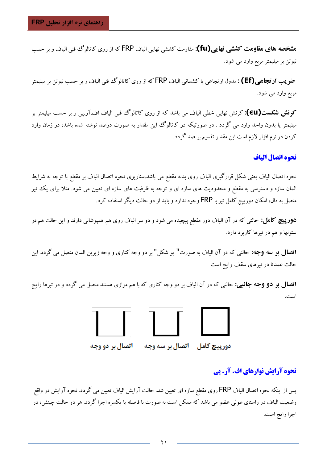ه**شخصه های مقاومت کششی نهایی(fu):** مقاومت کششی نهایی الیاف FRP که از روی کاتالوگ فنی الیاف و بر حسب نیوتن بر میلیمتر مربع وارد می شود.

**ضو یب ارتجاعبی(Ef) :** مدول ارتجاعبی یا کشسانبی الیاف FRP که از روی کاتالوگ فنبی الیاف و بر حسب نیوتن بر میلیمتر مربع وارد مي شود.

کونش شکست(EU): کرنش نهایی خطی الیاف می باشد که از روی کاتالوگ فنی الیاف اف.آر.یبی و بر حسب میلیمتر بر میلیمتر یا بدون واحد وارد می گردد . در صورتیکه در کاتالوگ این مقدار به صورت درصد نوشته شده باشد، در زمان وارد کردن در نرم افزار لازم است این مقدار تقسیم بر صد گردد.

#### نحوه اتصال الياف

نحوه اتصال الياف يعني شكل قرارگيري الياف روي بدنه مقطع مي باشد.سناريوي نحوه اتصال الياف بر مقطع با توجه به شرايط المان سازه و دسترسی به مقطع و محدودیت های سازه ای و توجه به ظرفیت های سازه ای تعیین می شود. مثلاً برای یک تیر متصل به دال، امکان دورپیچ کامل تیر با FRP وجود ندارد و باید از دو حالت دیگر استفاده کرد.

**دورپیچ کامل:** حالت<sub>ی</sub> که در آن الیاف دور مقطع پیچیده می شود و دو سر الیاف روی هم همپوشانی دارند و این حالت هم در ستونها و هم در تیرها کاربرد دارد.

**اتصال بو سه وجه:** حالتی که در آن الیاف به صورت" یو شکل" بر دو وجه کناری و وجه زیرین المان متصل می گردد. این حالت عمدتا در تیرهای سقف رایج است

**اتصال بو دو وجه جانبی:** حالتی که در آن الیاف بر دو وجه کناری که با هم موازی هستند متصل می گردد و در تیرها رایج است.



# دور پیچ کامل = اتصال بر سه وجه

# **نحوه آرایش نوارهای اف. آر. پی**

پس از اینکه نحوه اتصال الیاف FRP روی مقطع سازه ای تعیین شد. حالت آرایش الیاف تعیین می گردد. نحوه آرایش در واقع وضعیت الیاف در راستای طولی عضو می باشد که ممکن است به صورت با فاصله یا یکسره اجرا گردد. هر دو حالت چینش، در اجرا رايج است.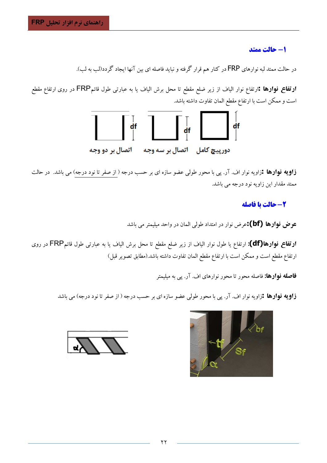1- حالت ممتد

در حالت ممتد لبه نوارهای FRP در کنار هم قرار گرفته و نباید فاصله ای بین آنها ایجاد گردد(لب به لب).

**ارتفاع نوارها :**ارتفاع نوار الياف از زير ضلع مقطع تا محل برش الياف يا به عبارت<sub>ى</sub> طول قائمFRP در روى ارتفاع مقطع است و ممکن است با ارتفاع مقطع المان تفاوت داشته باشد.



**زاویه نوارها :**زاویه نوار اف. آر. پی با محور طولی عضو سازه ای بر حسب درجه ( از صفر تا نود درجه) می باشد. در حالت ممتد مقدار این زاویه نود درجه می باشد.

# 2- حالت يا فاصله

عوض فوارها (bf):عرض نوار در امتداد طولی المان در واحد میلیمتر می باشد

**ارتفاع نوارها(df):** ارتفاع یا طول نوار الیاف از زیر ضلع مقطع تا محل برش الیاف یا به عبارت<sub>ی</sub> طول قائمFRP در روی ارتفاع مقطع است و ممكن است با ارتفاع مقطع المان تفاوت داشته باشد.(مطابق تصوير قبل)

**فاصله نوارها:** فاصله محور تا محور نوارهای اف. آر. پی به میلیمتر

**زاویه نوارها :**زاویه نوار اف. آر. پی با محور طولی عضو سازه ای بر حسب درجه ( از صفر تا نود درجه) می باشد

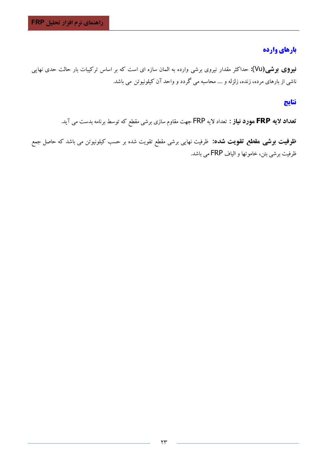# بارهاي وارده

فیووی بوشی(Vu): حداکثر مقدار نیروی برشی وارده به المان سازه ای است که بر اساس ترکیبات بار حالت حدی نهایی ناشی از بارهای مرده، زنده، زلزله و …. محاسبه می گردد و واحد آن کیلونیوتن می باشد.

## نتايج

تعداد لایه FRP مورد نیاز : تعداد لایه FRP جهت مقاوم سازی برشی مقطع که توسط برنامه بدست می آید.

**ظرفیت بوشی مقطع تقویت شده:** ظرفیت نهایی برشی مقطع تقویت شده بر حسب کیلونیوتن می باشد که حاصل جمع ظرفيت برشي بتن، خاموتها و الياف FRP مي باشد.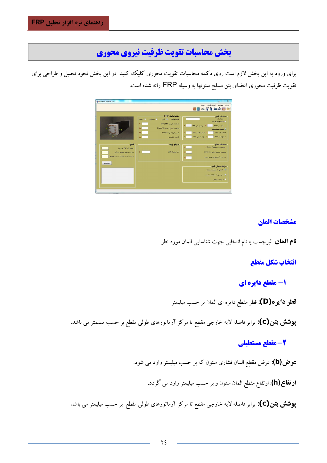# بخش محاسبات تقويت ظرفيت نيروي محوري

برای ورود به این بخش لازم است روی دکمه محاسبات تقویت محوری کلیک کنید. در این بخش نحوه تحلیل و طراحی برای تقویت ظرفیت محوری اعضای بتن مسلح ستونها به وسیله FRP ارائه شده است.



## مشخصات المان

**نام العان :**برچسب یا نام انتخابی جهت شناسایی المان مورد نظر

انتخاب شكل مقطع

1- مقطع دایره ای

قطو دايوه(D): قطر مقطع دايره اي المان بر حسب ميليمتر

**پوشش بتن(C):** برابر فاصله لایه خارجی مقطع تا مرکز آرماتورهای طولی مقطع بر حسب میلیمتر می باشد.

# 2- مقطع مستطيلي

**عوض(b)**: عرض مقطع المان فشاری ستون که بر حسب میلیمتر وارد می شود.

**ارتفاع(h)**: ارتفاع مقطع المان ستون و بر حسب میلیمتر وارد می گردد.

**پوشش بتن(C):** برابر فاصله لایه خارجی مقطع تا مرکز آرماتورهای طولی مقطع بر حسب میلیمتر می باشد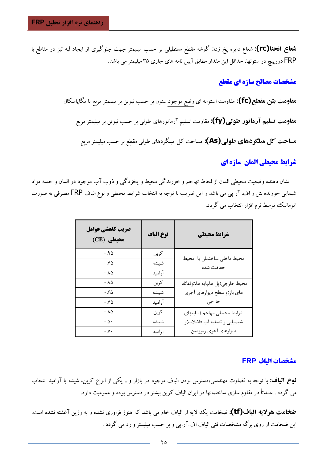**شعاع انحنا(rc):** شعاع دایره پخ زدن گوشه مقطع مستطیلی بر حسب میلیمتر جهت جلوگیری از ایجاد لبه تیز در مقاطع با FRP دورپیچ در ستونها. حداقل این مقدار مطابق آیین نامه های جاری ۳۵ میلیمتر می باشد.

# مشخصات مصالح سازه ای مقطع

ه**قاومت بتن مقطع(fc):** مقاومت استوانه ای وضع موجود ستون بر حسب نیوتن بر میلیمتر مربع یا مگاپاسکال هقاومت تسلیم آرماتور طولی(fy): مقاومت تسلیم آرماتورهای طولی بر حسب نیوتن بر میلیمتر مربع هساحت کل هیلگردهای طولی(As): مساحت کل میلگردهای طولی مقطع بر حسب میلیمتر مربع

# شرايط محيطي المان سازه اي

نشان دهنده وضعيت محيطي المان از لحاظ تهاجم و خورندگي محيط و يخزدگي و ذوب آب موجود در المان و حمله مواد شیمایی خورنده بتن و اف. آر پی می باشد و این ضریب با توجه به انتخاب شرایط محیطی و نوع الیاف FRP مصرفی به صورت اتوماتیک توسط نرم افزار انتخاب می گردد.

| ضريب كاهشي عوامل<br>(CE) محیطی | نوع الياف | شرايط محيطي                             |
|--------------------------------|-----------|-----------------------------------------|
| .90                            | كربن      |                                         |
| $\cdot$ . $\vee \vartriangle$  | شيشه      | محيط داخلى ساختمان يا محيط<br>حفاظت شده |
| .10                            | آراميد    |                                         |
| $\cdot \Lambda \Delta$         | كربن      | محيط خارجي(پل ها،پايه ها،توقفگاه-       |
| ۰.۶۵                           | شيشه      | های باز)و سطح دیوارهای آجری             |
| $\cdot$ . $\vee \vartriangle$  | آراميد    | خارجى                                   |
| $\cdot \Lambda \Delta$         | كربن      | شرايط محيطى مهاجم (سايتهاى              |
| $\cdot \mathbf{A} \cdot$       | شيشه      | شیمیایی و تصفیه آب فاضلاب)و             |
| $\cdot y \cdot$                | آراميد    | ديوارهاي أجرى زيرزمين                   |

#### مشخصات الىاف FRP

**نوع الیاف:** با توجه به قضاوت مهندسی،دسترس بودن الیاف موجود در بازار و… یکی از انواع کربن، شیشه یا آرامید انتخاب می گردد . عمدتاً در مقاوم سازی ساختمانها در ایران الیاف کربن بیشتر در دسترس بوده و عمومیت دارد.

**ضخامت هولایه الیاف(tf):** ضخامت یک لایه از الباف خام می باشد که هنوز فراوری نشده و به رزین آغشته نشده است. این ضخامت از روی برگه مشخصات فنی الیاف اف.آر.پی و بر حسب میلیمتر وارد می گردد .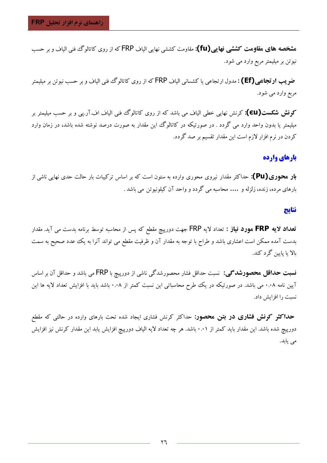ه**شخصه های مقاومت کششی نهایی(fu):** مقاومت کششی نهایی الیاف FRP که از روی کاتالوگ فنی الیاف و بر حسب نیوتن بر میلیمتر مربع وارد می شود.

**ضو یب ارتجاعبی (Ef) :** مدول ارتجاعبی یا کشسانبی الیاف FRP که از روی کاتالوگ فنبی الیاف و بر حسب نیوتن بر میلیمتر مربع وارد مي شود.

کونش شکست(EU): کرنش نهایی خطی الیاف می باشد که از روی کاتالوگ فنی الیاف اف.آر.یبی و بر حسب میلیمتر بر میلیمتر یا بدون واحد وارد می گردد . در صورتیکه در کاتالوگ این مقدار به صورت درصد نوشته شده باشد، در زمان وارد کردن در نرم افزار لازم است این مقدار تقسیم بر صد گردد.

# بارهای وارده

**بار محوری(Pu):** حداکثر مقدار نیروی محوری وارده به ستون است که بر اساس ترکیبات بار حالت حدی نهایی ناشی از بارهای مرده، زنده، زلزله و …. محاسبه می گردد و واحد آن کیلونیوتن می باشد .

#### نتايج

تعداد لایه FRP مورد نیاز : تعداد لایه FRP جهت دورپیچ مقطع که پس از محاسبه توسط برنامه بدست می آید. مقدار بدست آمده ممکن است اعشاری باشد و طراح با توجه به مقدار آن و ظرفیت مقطع می تواند آنرا به یک عدد صحیح به سمت بالا يا پايين گرد کند.

**نسبت حداقل محصورشدگی:** نسبت حداقل فشار محصورشدگی ناشی از دورییچ با FRP می باشد و حداقل آن بر اساس آیین نامه ۰.۰۸ می باشد. در صورتیکه در یک طرح محاسباتی این نسبت کمتر از ۰.۰۸ باشد باید با افزایش تعداد لایه ها این نسبت را افزايش داد.

**حداکثو کونش فشاری در بتن محصور:** حداکثر کرنش فشاری ایجاد شده تحت بارهای وارده در حالتی که مقطع دورپیچ شده باشد. این مقدار باید کمتر از ۰.۰۱ باشد. هر چه تعداد لایه الیاف دورپیچ افزایش یابد این مقدار کرنش نیز افزایش می یابد.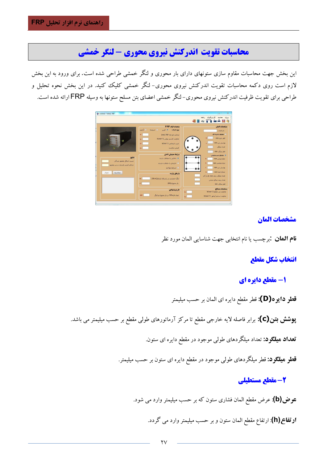# محاسبات تقويت اندركنش نيروي محوري - لنكر خمشي

این بخش جهت محاسبات مقاوم سازی ستونهای دارای بار محوری و لنگر خمشی طراحی شده است. برای ورود به این بخش لازم است روی دکمه محاسبات تقویت اندرکنش نیروی محوری- لنگر خمشی کلیک کنید. در این بخش نحوه تحلیل و طراحی برای تقویت ظرفیت اندرکنش نیروی محوری–لنگر خمشی اعضای بتن مسلح ستونها به وسیله FRP ارائه شده است.



## مشخصات المان

**نام العان :**برچسب یا نام انتخابی جهت شناسایی المان مورد نظر

# انتخاب شكل مقطع

# ۱- مقطع دایره ای

قطو دايو ه(D): قطر مقطع دايره اي المان بر حسب ميليمتر

**پوشش بتن(C):** برابر فاصله لایه خارجی مقطع تا مرکز آرماتورهای طولی مقطع بر حسب میلیمتر می باشد.

تعداد میلگود: تعداد میلگردهای طول<sub>ی</sub> موجود در مقطع دایره ای ستون.

**قطر هیلگود:** قطر میلگردهای طول<sub>ی</sub> موجود در مقطع دایره ای ستون بر حسب میلیمتر.

# 2- مقطع مستطيلي

**عوض(b)**: عرض مقطع المان فشاری ستون که بر حسب میلیمتر وارد می شود.

**ارتفاع(h)**: ارتفاع مقطع المان ستون و بر حسب میلیمتر وارد می گردد.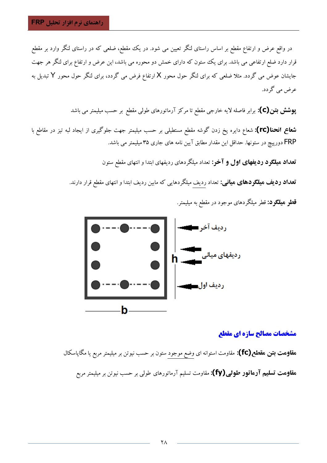در واقع عرض و ارتفاع مقطع بر اساس راستای لنگر تعیین می شود. در یک مقطع، ضلعی که در راستای لنگر وارد بر مقطع قرار دارد ضلع ارتفاعی می باشد. برای یک ستون که دارای خمش دو محوره می باشد، این عرض و ارتفاع برای لنگر هر جهت جایشان عوض می گردد. مثلا ضلعی که برای لنگر حول محور X ارتفاع فرض می گردد، برای لنگر حول محور Y تبدیل به عرض مي گردد.

**پوشش بتن(C):** برابر فاصله لایه خارجی مقطع تا مرکز آرماتورهای طولی مقطع بر حسب میلیمتر می باشد

**شعاع انحنا(rc):** شعاع دایره یخ زدن گوشه مقطع مستطیلی بر حسب میلیمتر جهت جلوگیری از ایجاد لبه تیز در مقاطع با FRP دورپیچ در ستونها. حداقل این مقدار مطابق آیین نامه های جاری ۳۵ میلیمتر می باشد.

تعداد میلگرد ردیفهای اول و آخر: تعداد میلگردهای ردیفهای ابتدا و انتهای مقطع ستون

**تعداد ردیف میلگردهای میانی:** تعداد ردیف میلگردهایی که مابین ردیف ابتدا و انتهای مقطع قرار دارند. **قطو هیلگو د:** قطر میلگردهای موجود در مقطع به میلیمتر.



## مشخصات مصالح سازه اي مقطع

ه**قاومت بتن هقطع(fc):** مقاومت استوانه ای وضع موجود ستون بر حسب نیوتن بر میلیمتر مربع یا مگاپاسکال هقاوِمت تسلیم آرماتور طولی(fy): مقاومت تسلیم آرماتورهای طولی بر حسب نیوتن بر میلیمتر مربع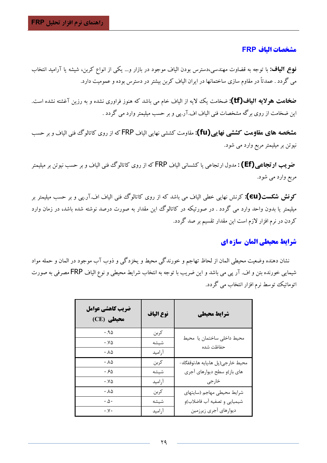#### مشخصات الىاف FRP

**نوع الیاف:** با توجه به قضاوت مهندسی،دسترس بودن الیاف موجود در بازار و… یکی از انواع کربن، شیشه یا آرامید انتخاب می گردد . عمدتاً در مقاوم سازی ساختمانها در ایران الیاف کربن بیشتر در دسترس بوده و عمومیت دارد.

**ضخامت هولایه الیاف(tf):** ضخامت یک لایه از الیاف خام می باشد که هنوز فراوری نشده و به رزین آغشته نشده است. این ضخامت از روی برگه مشخصات فنی الیاف اف.آر.پی و بر حسب میلیمتر وارد می گردد .

**مشخصه های مقاومت کششی نهایی (fu):** مقاومت کششی نهایی الیاف FRP که از روی کاتالوگ فنی الیاف و بر حسب نیوتن بر میلیمتر مربع وارد می شود.

**ضو یب ارتجاعبی (Ef) :** مدول ارتجاعبی یا کشسانبی الیاف FRP که از روی کاتالوگ فنبی الیاف و بر حسب نیوتن بر میلیمتر مربع وارد مي شود.

کونش شکست(EU): کرنش نهایی خطی الیاف می باشد که از روی کاتالوگ فنی الیاف اف.آر.پی و بر حسب میلیمتر بر میلیمتر یا بدون واحد وارد می گردد . در صورتیکه در کاتالوگ این مقدار به صورت درصد نوشته شده باشد، در زمان وارد کردن در نرم افزار لازم است این مقدار تقسیم بر صد گردد.

## شرایط محیطی المان سازه ای

نشان دهنده وضعیت محیطی المان از لحاظ تهاجم و خورندگی محیط و یخزدگی و ذوب آب موجود در المان و حمله مواد شیمایی خورنده بتن و اف. آر پی می باشد و این ضریب با توجه به انتخاب شرایط محیطی و نوع الیاف FRP مصرفی به صورت اتوماتیک توسط نرم افزار انتخاب می گردد.

| ضريب كاهشي عوامل<br>(CE) محیطی | نوع الياف | شرايط محيطي                             |
|--------------------------------|-----------|-----------------------------------------|
| .90                            | كربن      |                                         |
| $\cdot$ . $\vee \vartriangle$  | شيشه      | محيط داخلى ساختمان يا محيط<br>حفاظت شده |
| $\cdot \Lambda \Delta$         | أراميد    |                                         |
| .10                            | كربن      | محيط خارجي(پل ها،پايه ها،توقفگاه-       |
| ۰.۶۵                           | شيشه      | های باز)و سطح دیوارهای آجری             |
| $\cdot$ . $\vee \vartriangle$  | أراميد    | خارجى                                   |
| $\cdot \Lambda \Delta$         | كربن      | شرايط محيطى مهاجم (سايتهاى              |
| $\cdot \Delta \cdot$           | شيشه      | شیمیایی و تصفیه آب فاضلاب)و             |
| $\cdot$ . $\vee$ $\cdot$       | آراميد    | ديوارهاي أجرى زيرزمين                   |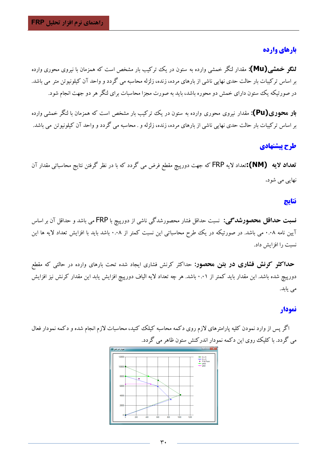# بارهای وارده

**لنگو خمشی (Mu):** مقدار لنگر خمشی وارده به ستون در یک ترکیب بار مشخص است که همزمان با نیروی محوری وارده بر اساس ترکیبات بار حالت حدی نهایی ناشی از بارهای مرده، زنده، زلزله محاسبه می گردد و واحد آن کیلونیوتن متر می باشد. در صورتیکه یک ستون دارای خمش دو محوره باشد، باید به صورت مجزا محاسبات برای لنگر هر دو جهت انجام شود.

**بار محوری(Pu):** مقدار نیروی محوری وارده به ستون در یک ترکیب بار مشخص است که همزمان با لنگر خمشی وارده بر اساس ترکیبات بار حالت حدی نهایی ناشی از بارهای مرده، زنده، زلزله و . محاسبه می گردد و واحد آن کیلونیوتن می باشد.

# طرح ييشنهادي

تعداد لایه (NM):تعداد لایه FRP که جهت دورپیچ مقطع فرض می گردد که با در نظر گرفتن نتایج محاسباتی مقدار آن نهايي مي شود.

#### نتايج

**نسبت حداقل محصورشدگی:** نسبت حداقل فشار محصورشدگی ناشی از دورپیچ با FRP می باشد و حداقل آن بر اساس آیین نامه ۰.۰۸ می باشد. در صورتیکه در یک طرح محاسباتی این نسبت کمتر از ۰.۰۸ باشد باید با افزایش تعداد لایه ها این نسبت را افزایش داد.

**حداکثر کونش فشاری در بتن محصور:** حداکثر کرنش فشاری ایجاد شده تحت بارهای وارده در حالتی که مقطع دورپیچ شده باشد. این مقدار باید کمتر از ۰.۰۱ باشد. هر چه تعداد لایه الیاف دورپیچ افزایش یابد این مقدار کرنش نیز افزایش می یابد.

#### نمودار

اگر پس از وارد نمودن کلیه پارامترهای لازم روی دکمه محاسبه کیلک کنید، محاسبات لازم انجام شده و دکمه نمودار فعال می گردد. با کلیک روی این دکمه نمودار اندرکنش ستون ظاهر می گردد.

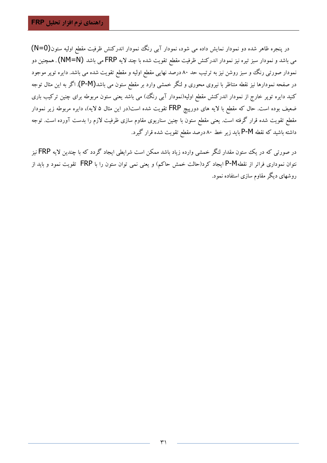در پنجره ظاهر شده دو نمودار نمایش داده می شود، نمودار آبی رنگ نمودار اندرکنش ظرفیت مقطع اولیه ستون(N=0) می باشد و نمودار سبز تیره نیز نمودار اندرکنش ظرفیت مقطع تقویت شده با چند لایه FRP می باشد (NM=N) . همچنین دو نمودار صورتی رنگ وو سبز روشن نیز به ترتیب حد ۸۰ درصد نهایی مقطع اولیه و مقطع تقویت شده می باشد. دایره توپر موجود در صفحه نمودارها نیز نقطه متناظر با نیروی محوری و لنگر خمشی وارد بر مقطع ستون می باشد(P-M). اگر به این مثال توجه کنید دایره تویر خارج از نمودار اندرکنش مقطع اولیه(نمودار آبی رنگ) می باشد یعنی ستون مربوطه برای چنین ترکیب باری ضعیف بوده است. حال که مقطع با لایه های دورییچ FRP تقویت شده است(در این مثال ۵ لایه)، دایره مربوطه زیر نمودار مقطع تقویت شده قرار گرفته است. یعنی مقطع ستون با چنین سناریوی مقاوم سازی ظرفیت لازم را بدست آورده است. توجه داشته باشید که نقطه P-M باید زیر خط ۸۰ درصد مقطع تقویت شده قرار گیرد.

در صورتی که در یک ستون مقدار لنگر خمشی وارده زیاد باشد ممکن است شرایطی ایجاد گردد که با چندین لایه FRP نیز نتوان نموداری فراتر از نقطهP-M ایجاد کرد(حالت خمش حاکم) و یعنی نمی توان ستون را با FRP تقویت نمود و باید از روشهای دیگر مقاوم سازی استفاده نمود.